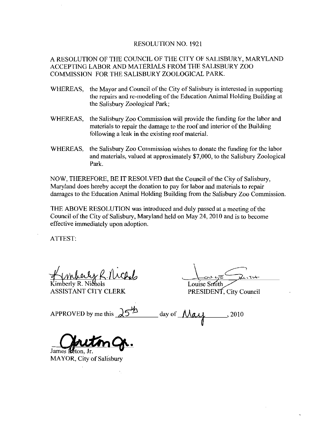## RESOLUTION NO. 1921

## A RESOLUTION OF THE COUNCIL OF THE CITY OF SALISBURY, MARYLAND ACCEPTING LABOR AND MATERIALS FROM THE SALISBURY ZOO COMMISSION FOR THE SALISBURY ZOOLOGICAL PARK

- WHEREAS, the Mayor and Council of the City of Salisbury is interested in supporting V FOR THE SALISBURY ZOOLOGICAL PARK.<br>the Mayor and Council of the City of Salisbury is interested in supporting<br>the repairs and re-modeling of the Education Animal Holding Building at<br>the Salisbury Zoological Park; the Salisbury Zoological Park
- WHEREAS, the Salisbury Zoo Commission will provide the funding for the labor and materials to repair the damage to the roof and interior of the Building following a leak in the existing roof material.
- WHEREAS, the Salisbury Zoo Commission wishes to donate the funding for the labor and materials, valued at approximately \$7,000, to the Salisbury Zoological Park.

NOW, THEREFORE, BE IT RESOLVED that the Council of the City of Salisbury, Maryland does hereby accept the donation to pay for labor and materials to repair damages to the Education Animal Holding Building from the Salisbury Zoo Commission

THE ABOVE RESOLUTION was introduced and duly passed at ameeting of the Council of the City of Salisbury, Maryland held on May 24, 2010 and is to become effective immediately upon adoption

ATTEST

Kimberly R. Nichols ASSISTANT CITY CLERK

Louise Smith

PRESIDENT, City Council

APPROVED by me this  $\sqrt{5^{2}}$  day of  $\sqrt{\sqrt{4}}$ 

James R MAYOR, City of Salisbury